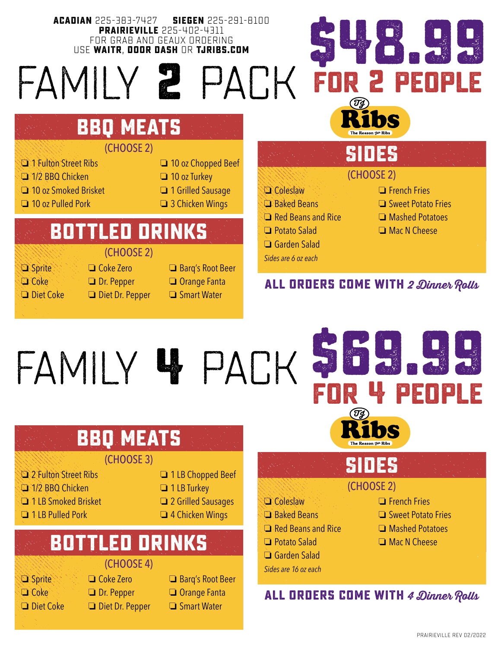**ACADIAN** 225-383-7427 **SIEGEN** 225-291-8100 **PRAIRIEVILLE** 225-402-4311 FOR GRAB AND GEAUX ORDERING USE **WAITR**, **DOOR DASH** OR **TJRIBS.COM**

# family **2** pack



### **bbq meats**

#### (CHOOSE 2)

- **C** 1 Fulton Street Ribs **D** 10 oz Chopped Beef
- **o 1/2 BBQ Chicken o 10 oz Turkey**
- **O** 10 oz Smoked Brisket **O** 1 Grilled Sausage
- $\Box$  10 oz Pulled Pork  $\Box$  3 Chicken Wings
- 
- 
- 

## **bottled drinks**

#### (CHOOSE 2)

- o Sprite o Coke Zero o Barq's Root Beer
- 
- 
- 
- **Coke Dr. Pepper Orange Fanta**
- $\Box$  Diet Coke  $\Box$  Diet Dr. Pepper  $\Box$  Smart Water

#### $\Box$  Coleslaw  $\Box$  French Fries (CHOOSE 2) **SIDES**

- **CI** Baked Beans **CI** Sweet Potato Fries
- $\Box$  Red Beans and Rice  $\Box$  Mashed Potatoes
- $\Box$  Potato Salad  $\Box$  Mac N Cheese
- $\Box$  Garden Salad
- *Sides are 6 oz each*
- 

Garden Salad *Sides are 16 oz each*

**\$48.99**

- 
- 
- 
- 

#### **ALL ORDERS COME WITH 2 Dinner Rolls**

# family **4** pack

# **bbq meats**

#### (CHOOSE 3)

- o 2 Fulton Street Ribs o 1 LB Chopped Beef
- **C** 1/2 BBQ Chicken **D** 1 LB Turkey
- **O** 1 LB Smoked Brisket **C** 2 Grilled Sausages
- **O** 1 LB Pulled Pork **Canadian Canadian Port Canadian** 4 Chicken Wings
- 
- 
- -

#### (CHOOSE 4) **bottled drinks**

- 
- 
- 
- 
- o Sprite o Coke Zero o Barq's Root Beer **Coke Dr. Pepper D** Orange Fanta  $\Box$  Diet Coke  $\Box$  Diet Dr. Pepper  $\Box$  Smart Water
	-
	-
	-

# **for 4 people**

# **SIDES**

#### (CHOOSE 2)

 $\Box$  Coleslaw  $\Box$  French Fries

**\$69.99**

- **CI** Baked Beans **CI** Sweet Potato Fries
- $\Box$  Red Beans and Rice  $\Box$  Mashed Potatoes
- $\Box$  Potato Salad  $\Box$  Mac N Cheese

#### **ALL ORDERS COME WITH 4 Dinner Rolls**